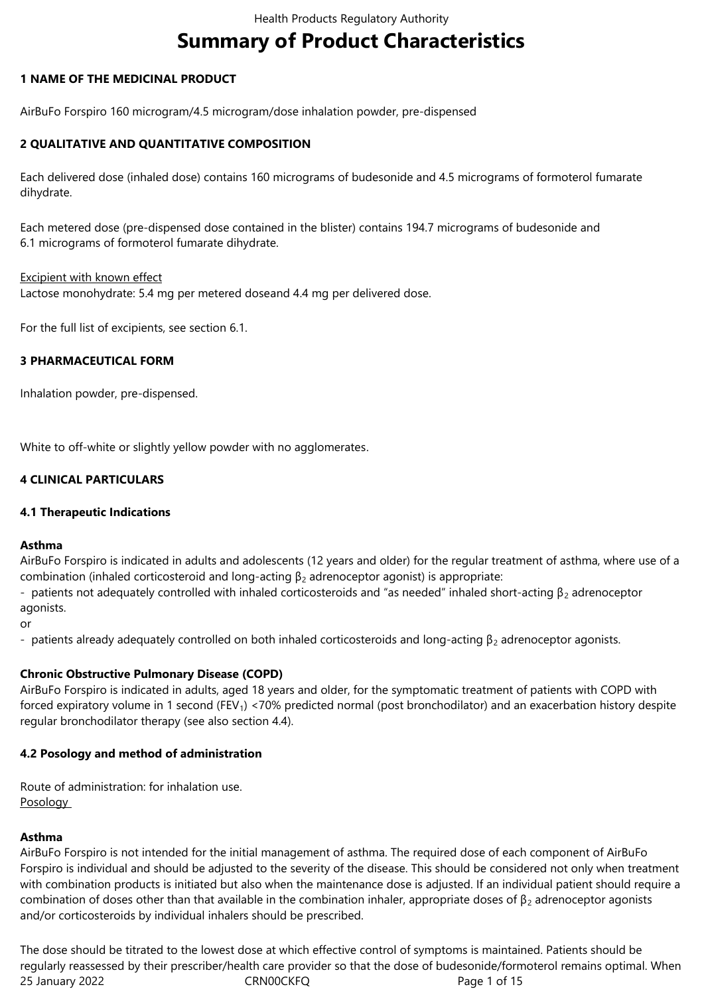# **Summary of Product Characteristics**

## **1 NAME OF THE MEDICINAL PRODUCT**

AirBuFo Forspiro 160 microgram/4.5 microgram/dose inhalation powder, pre-dispensed

## **2 QUALITATIVE AND QUANTITATIVE COMPOSITION**

Each delivered dose (inhaled dose) contains 160 micrograms of budesonide and 4.5 micrograms of formoterol fumarate dihydrate.

Each metered dose (pre-dispensed dose contained in the blister) contains 194.7 micrograms of budesonide and 6.1 micrograms of formoterol fumarate dihydrate.

#### Excipient with known effect

Lactose monohydrate: 5.4 mg per metered doseand 4.4 mg per delivered dose.

For the full list of excipients, see section 6.1.

## **3 PHARMACEUTICAL FORM**

Inhalation powder, pre-dispensed.

White to off-white or slightly yellow powder with no agglomerates.

## **4 CLINICAL PARTICULARS**

## **4.1 Therapeutic Indications**

## **Asthma**

AirBuFo Forspiro is indicated in adults and adolescents (12 years and older) for the regular treatment of asthma, where use of a combination (inhaled corticosteroid and long-acting  $\beta_2$  adrenoceptor agonist) is appropriate:

- patients not adequately controlled with inhaled corticosteroids and "as needed" inhaled short-acting  $\beta_2$  adrenoceptor agonists.

or

- patients already adequately controlled on both inhaled corticosteroids and long-acting  $\beta_2$  adrenoceptor agonists.

## **Chronic Obstructive Pulmonary Disease (COPD)**

AirBuFo Forspiro is indicated in adults, aged 18 years and older, for the symptomatic treatment of patients with COPD with forced expiratory volume in 1 second (FEV<sub>1</sub>) <70% predicted normal (post bronchodilator) and an exacerbation history despite regular bronchodilator therapy (see also section 4.4).

## **4.2 Posology and method of administration**

Route of administration: for inhalation use. Posology

## **Asthma**

AirBuFo Forspiro is not intended for the initial management of asthma. The required dose of each component of AirBuFo Forspiro is individual and should be adjusted to the severity of the disease. This should be considered not only when treatment with combination products is initiated but also when the maintenance dose is adjusted. If an individual patient should require a combination of doses other than that available in the combination inhaler, appropriate doses of  $\beta_2$  adrenoceptor agonists and/or corticosteroids by individual inhalers should be prescribed.

25 January 2022 CRN00CKFQ Page 1 of 15 The dose should be titrated to the lowest dose at which effective control of symptoms is maintained. Patients should be regularly reassessed by their prescriber/health care provider so that the dose of budesonide/formoterol remains optimal. When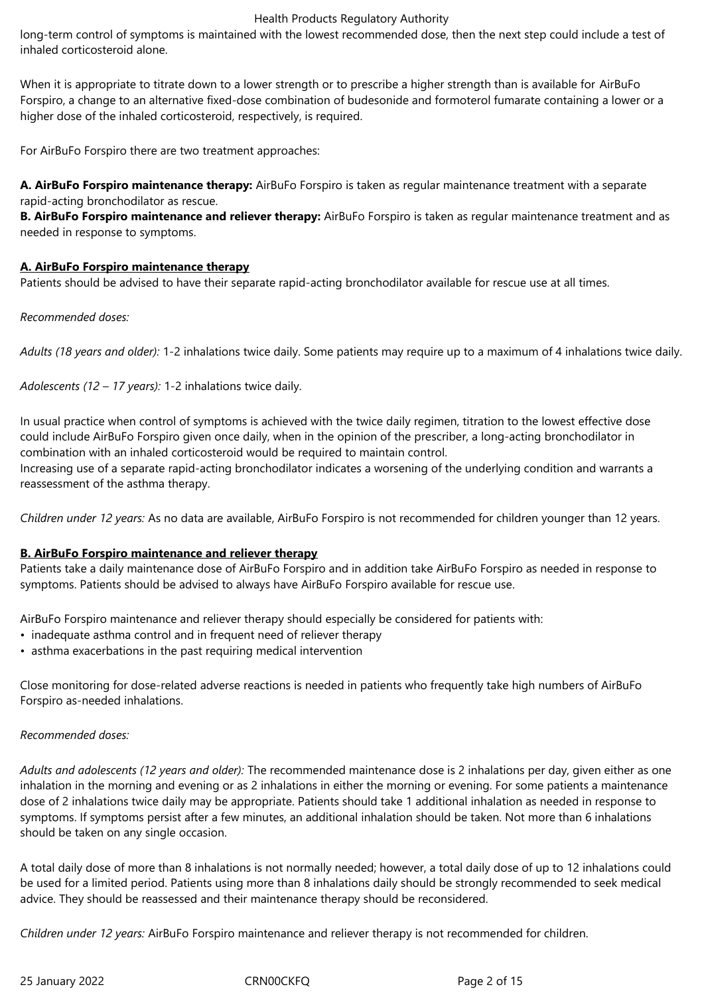long-term control of symptoms is maintained with the lowest recommended dose, then the next step could include a test of inhaled corticosteroid alone.

When it is appropriate to titrate down to a lower strength or to prescribe a higher strength than is available for AirBuFo Forspiro, a change to an alternative fixed-dose combination of budesonide and formoterol fumarate containing a lower or a higher dose of the inhaled corticosteroid, respectively, is required.

For AirBuFo Forspiro there are two treatment approaches:

**A. AirBuFo Forspiro maintenance therapy:** AirBuFo Forspiro is taken as regular maintenance treatment with a separate rapid-acting bronchodilator as rescue.

**B. AirBuFo Forspiro maintenance and reliever therapy:** AirBuFo Forspiro is taken as regular maintenance treatment and as needed in response to symptoms.

## **A. AirBuFo Forspiro maintenance therapy**

Patients should be advised to have their separate rapid-acting bronchodilator available for rescue use at all times.

## *Recommended doses:*

*Adults (18 years and older):* 1-2 inhalations twice daily. Some patients may require up to a maximum of 4 inhalations twice daily.

*Adolescents (12 – 17 years):* 1-2 inhalations twice daily.

In usual practice when control of symptoms is achieved with the twice daily regimen, titration to the lowest effective dose could include AirBuFo Forspiro given once daily, when in the opinion of the prescriber, a long-acting bronchodilator in combination with an inhaled corticosteroid would be required to maintain control.

Increasing use of a separate rapid-acting bronchodilator indicates a worsening of the underlying condition and warrants a reassessment of the asthma therapy.

*Children under 12 years:* As no data are available, AirBuFo Forspiro is not recommended for children younger than 12 years.

## **B. AirBuFo Forspiro maintenance and reliever therapy**

Patients take a daily maintenance dose of AirBuFo Forspiro and in addition take AirBuFo Forspiro as needed in response to symptoms. Patients should be advised to always have AirBuFo Forspiro available for rescue use.

AirBuFo Forspiro maintenance and reliever therapy should especially be considered for patients with:

- inadequate asthma control and in frequent need of reliever therapy
- asthma exacerbations in the past requiring medical intervention

Close monitoring for dose-related adverse reactions is needed in patients who frequently take high numbers of AirBuFo Forspiro as-needed inhalations.

## *Recommended doses:*

*Adults and adolescents (12 years and older):* The recommended maintenance dose is 2 inhalations per day, given either as one inhalation in the morning and evening or as 2 inhalations in either the morning or evening. For some patients a maintenance dose of 2 inhalations twice daily may be appropriate. Patients should take 1 additional inhalation as needed in response to symptoms. If symptoms persist after a few minutes, an additional inhalation should be taken. Not more than 6 inhalations should be taken on any single occasion.

A total daily dose of more than 8 inhalations is not normally needed; however, a total daily dose of up to 12 inhalations could be used for a limited period. Patients using more than 8 inhalations daily should be strongly recommended to seek medical advice. They should be reassessed and their maintenance therapy should be reconsidered.

*Children under 12 years:* AirBuFo Forspiro maintenance and reliever therapy is not recommended for children.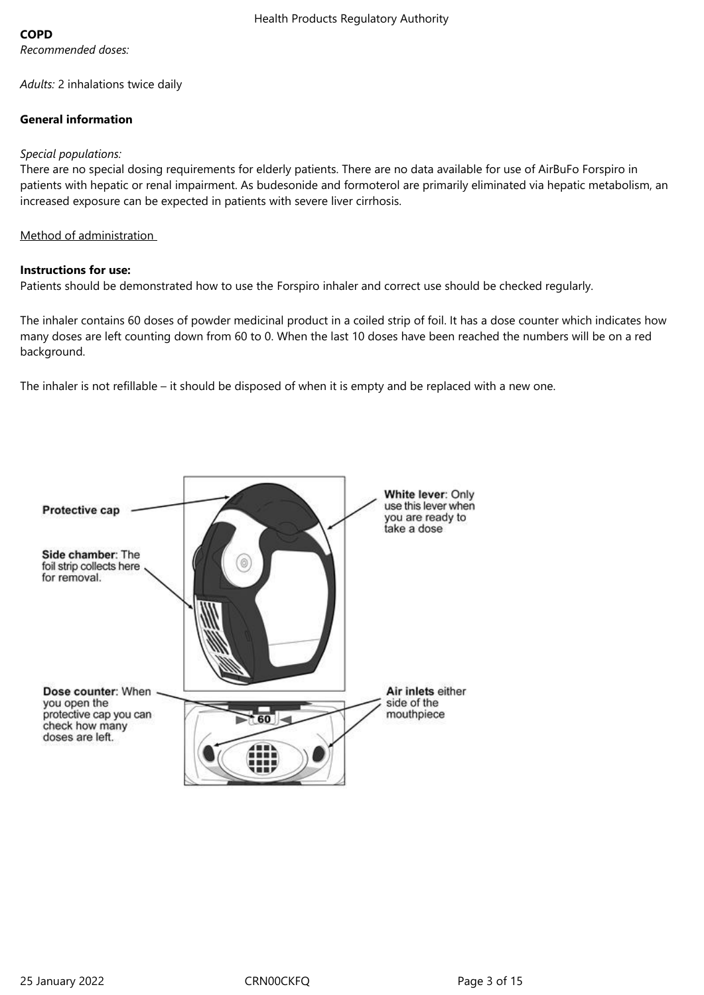## **COPD**

*Adults:* 2 inhalations twice daily

## **General information**

## *Special populations:*

There are no special dosing requirements for elderly patients. There are no data available for use of AirBuFo Forspiro in patients with hepatic or renal impairment. As budesonide and formoterol are primarily eliminated via hepatic metabolism, an increased exposure can be expected in patients with severe liver cirrhosis.

## Method of administration

## **Instructions for use:**

Patients should be demonstrated how to use the Forspiro inhaler and correct use should be checked regularly.

The inhaler contains 60 doses of powder medicinal product in a coiled strip of foil. It has a dose counter which indicates how many doses are left counting down from 60 to 0. When the last 10 doses have been reached the numbers will be on a red background.

The inhaler is not refillable – it should be disposed of when it is empty and be replaced with a new one.

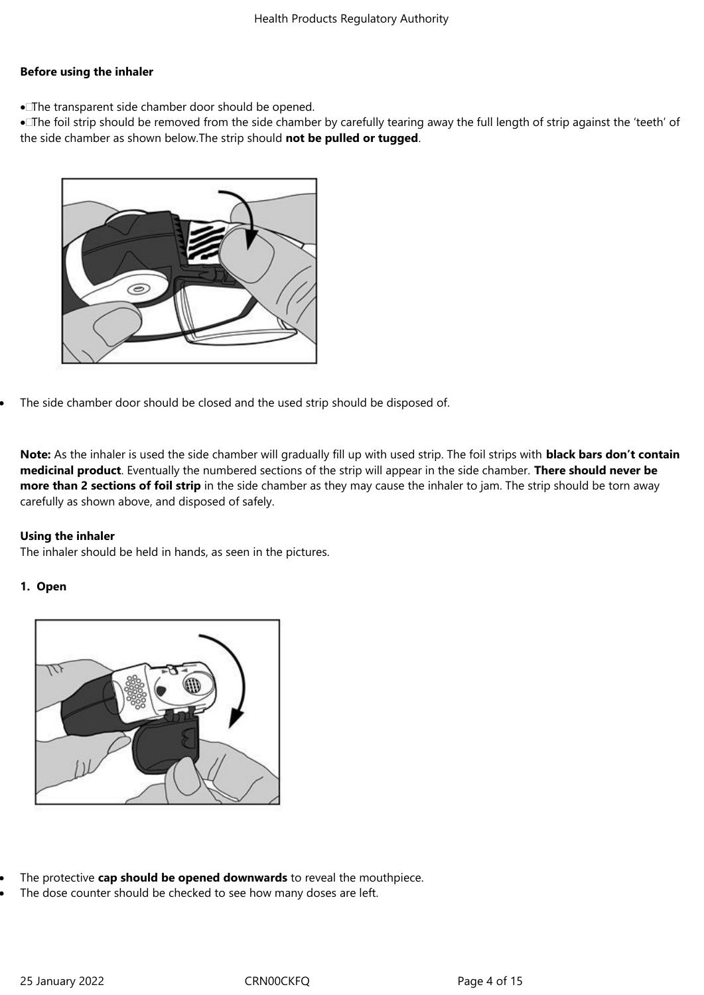## **Before using the inhaler**

The transparent side chamber door should be opened.

 The foil strip should be removed from the side chamber by carefully tearing away the full length of strip against the 'teeth' of the side chamber as shown below.The strip should **not be pulled or tugged**.



The side chamber door should be closed and the used strip should be disposed of.

**Note:** As the inhaler is used the side chamber will gradually fill up with used strip. The foil strips with **black bars don't contain medicinal product**. Eventually the numbered sections of the strip will appear in the side chamber. **There should never be more than 2 sections of foil strip** in the side chamber as they may cause the inhaler to jam. The strip should be torn away carefully as shown above, and disposed of safely.

## **Using the inhaler**

The inhaler should be held in hands, as seen in the pictures.

## **1. Open**



- The protective **cap should be opened downwards** to reveal the mouthpiece.
- The dose counter should be checked to see how many doses are left.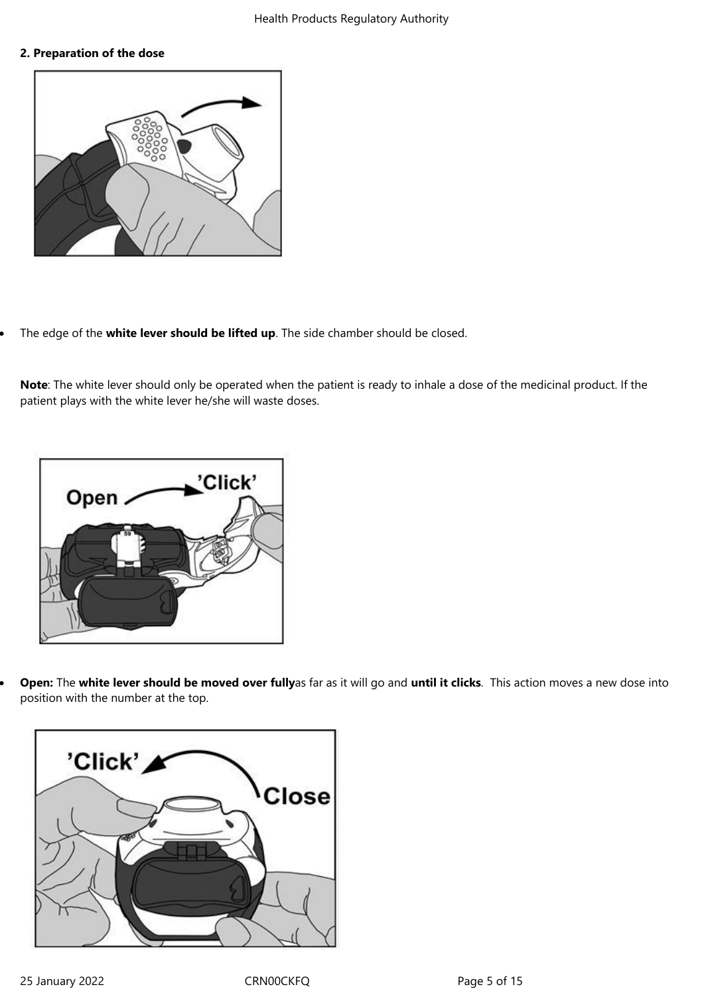#### **2. Preparation of the dose**



The edge of the **white lever should be lifted up**. The side chamber should be closed.

**Note**: The white lever should only be operated when the patient is ready to inhale a dose of the medicinal product. If the patient plays with the white lever he/she will waste doses.



 **Open:** The **white lever should be moved over fully**as far as it will go and **until it clicks**. This action moves a new dose into position with the number at the top.

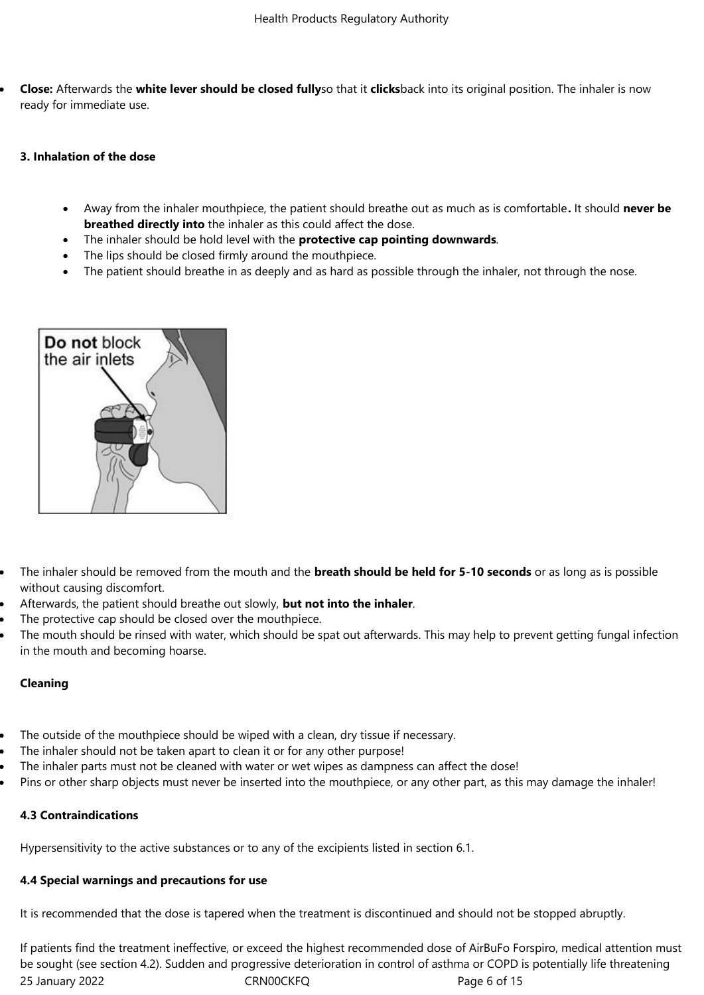**Close:** Afterwards the **white lever should be closed fully**so that it **clicks**back into its original position. The inhaler is now ready for immediate use.

#### **3. Inhalation of the dose**

- Away from the inhaler mouthpiece, the patient should breathe out as much as is comfortable**.** It should **never be breathed directly into** the inhaler as this could affect the dose.
- The inhaler should be hold level with the **protective cap pointing downwards**.
- The lips should be closed firmly around the mouthpiece.
- The patient should breathe in as deeply and as hard as possible through the inhaler, not through the nose.



- The inhaler should be removed from the mouth and the **breath should be held for 5-10 seconds** or as long as is possible without causing discomfort.
- Afterwards, the patient should breathe out slowly, **but not into the inhaler**.
- The protective cap should be closed over the mouthpiece.
- The mouth should be rinsed with water, which should be spat out afterwards. This may help to prevent getting fungal infection in the mouth and becoming hoarse.

## **Cleaning**

- The outside of the mouthpiece should be wiped with a clean, dry tissue if necessary.
- The inhaler should not be taken apart to clean it or for any other purpose!
- The inhaler parts must not be cleaned with water or wet wipes as dampness can affect the dose!
- Pins or other sharp objects must never be inserted into the mouthpiece, or any other part, as this may damage the inhaler!

# **4.3 Contraindications**

Hypersensitivity to the active substances or to any of the excipients listed in section 6.1.

# **4.4 Special warnings and precautions for use**

It is recommended that the dose is tapered when the treatment is discontinued and should not be stopped abruptly.

25 January 2022 **CRNOOCKFQ** Page 6 of 15 If patients find the treatment ineffective, or exceed the highest recommended dose of AirBuFo Forspiro, medical attention must be sought (see section 4.2). Sudden and progressive deterioration in control of asthma or COPD is potentially life threatening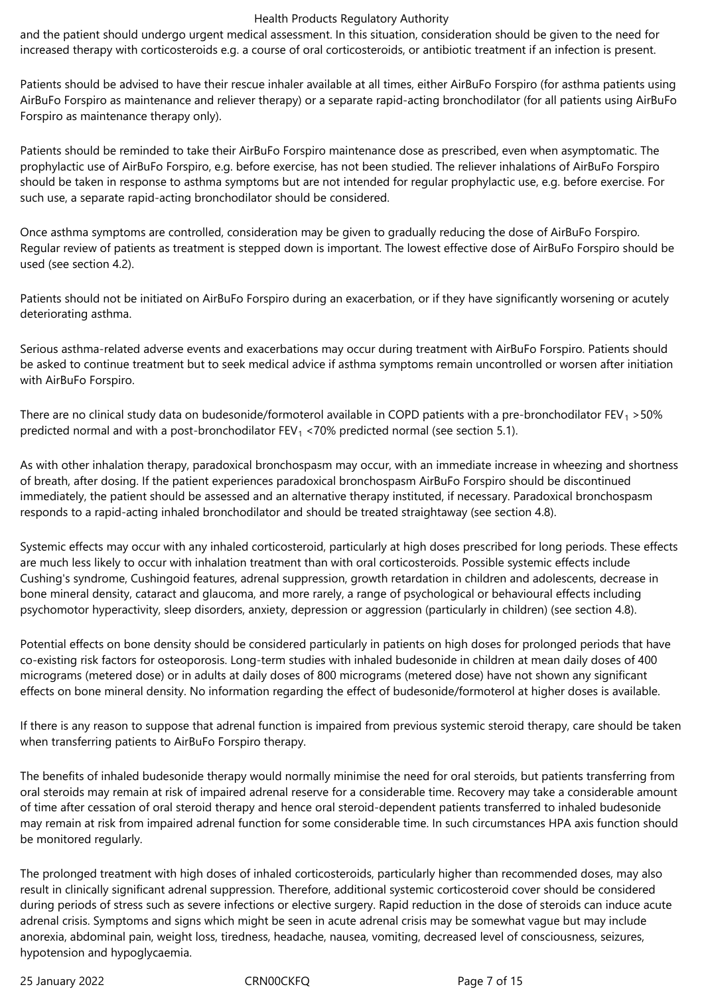and the patient should undergo urgent medical assessment. In this situation, consideration should be given to the need for increased therapy with corticosteroids e.g. a course of oral corticosteroids, or antibiotic treatment if an infection is present.

Patients should be advised to have their rescue inhaler available at all times, either AirBuFo Forspiro (for asthma patients using AirBuFo Forspiro as maintenance and reliever therapy) or a separate rapid-acting bronchodilator (for all patients using AirBuFo Forspiro as maintenance therapy only).

Patients should be reminded to take their AirBuFo Forspiro maintenance dose as prescribed, even when asymptomatic. The prophylactic use of AirBuFo Forspiro, e.g. before exercise, has not been studied. The reliever inhalations of AirBuFo Forspiro should be taken in response to asthma symptoms but are not intended for regular prophylactic use, e.g. before exercise. For such use, a separate rapid-acting bronchodilator should be considered.

Once asthma symptoms are controlled, consideration may be given to gradually reducing the dose of AirBuFo Forspiro. Regular review of patients as treatment is stepped down is important. The lowest effective dose of AirBuFo Forspiro should be used (see section 4.2).

Patients should not be initiated on AirBuFo Forspiro during an exacerbation, or if they have significantly worsening or acutely deteriorating asthma.

Serious asthma-related adverse events and exacerbations may occur during treatment with AirBuFo Forspiro. Patients should be asked to continue treatment but to seek medical advice if asthma symptoms remain uncontrolled or worsen after initiation with AirBuFo Forspiro.

There are no clinical study data on budesonide/formoterol available in COPD patients with a pre-bronchodilator  $FEV_1 > 50\%$ predicted normal and with a post-bronchodilator FEV<sub>1</sub> <70% predicted normal (see section 5.1).

As with other inhalation therapy, paradoxical bronchospasm may occur, with an immediate increase in wheezing and shortness of breath, after dosing. If the patient experiences paradoxical bronchospasm AirBuFo Forspiro should be discontinued immediately, the patient should be assessed and an alternative therapy instituted, if necessary. Paradoxical bronchospasm responds to a rapid-acting inhaled bronchodilator and should be treated straightaway (see section 4.8).

Systemic effects may occur with any inhaled corticosteroid, particularly at high doses prescribed for long periods. These effects are much less likely to occur with inhalation treatment than with oral corticosteroids. Possible systemic effects include Cushing's syndrome, Cushingoid features, adrenal suppression, growth retardation in children and adolescents, decrease in bone mineral density, cataract and glaucoma, and more rarely, a range of psychological or behavioural effects including psychomotor hyperactivity, sleep disorders, anxiety, depression or aggression (particularly in children) (see section 4.8).

Potential effects on bone density should be considered particularly in patients on high doses for prolonged periods that have co-existing risk factors for osteoporosis. Long-term studies with inhaled budesonide in children at mean daily doses of 400 micrograms (metered dose) or in adults at daily doses of 800 micrograms (metered dose) have not shown any significant effects on bone mineral density. No information regarding the effect of budesonide/formoterol at higher doses is available.

If there is any reason to suppose that adrenal function is impaired from previous systemic steroid therapy, care should be taken when transferring patients to AirBuFo Forspiro therapy.

The benefits of inhaled budesonide therapy would normally minimise the need for oral steroids, but patients transferring from oral steroids may remain at risk of impaired adrenal reserve for a considerable time. Recovery may take a considerable amount of time after cessation of oral steroid therapy and hence oral steroid-dependent patients transferred to inhaled budesonide may remain at risk from impaired adrenal function for some considerable time. In such circumstances HPA axis function should be monitored regularly.

The prolonged treatment with high doses of inhaled corticosteroids, particularly higher than recommended doses, may also result in clinically significant adrenal suppression. Therefore, additional systemic corticosteroid cover should be considered during periods of stress such as severe infections or elective surgery. Rapid reduction in the dose of steroids can induce acute adrenal crisis. Symptoms and signs which might be seen in acute adrenal crisis may be somewhat vague but may include anorexia, abdominal pain, weight loss, tiredness, headache, nausea, vomiting, decreased level of consciousness, seizures, hypotension and hypoglycaemia.

25 January 2022 **CRNOOCKFQ** Page 7 of 15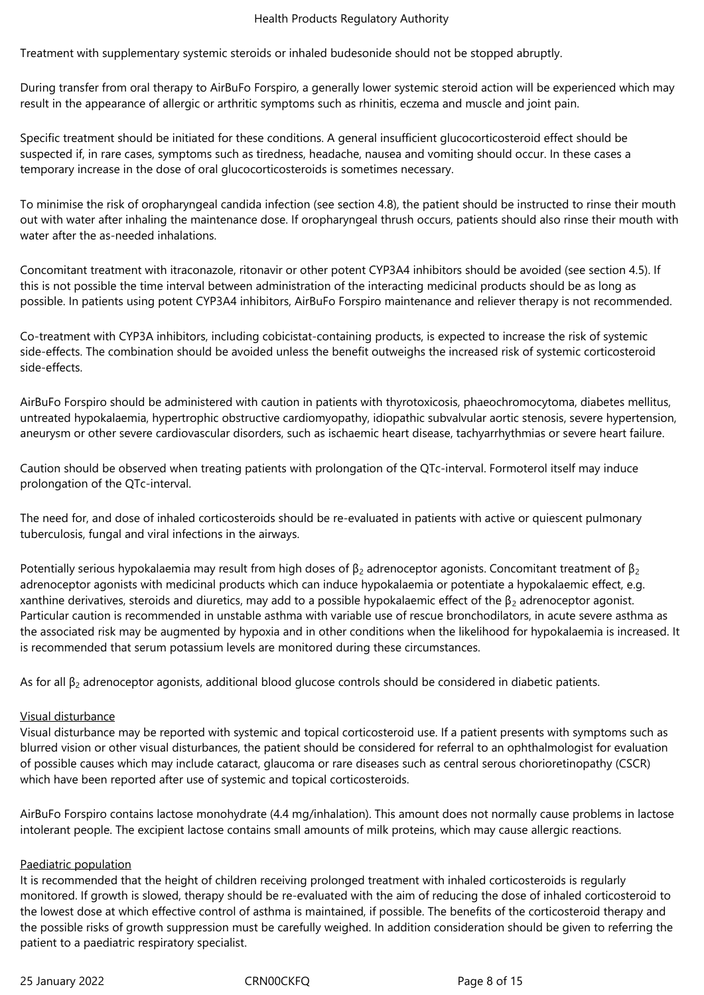Treatment with supplementary systemic steroids or inhaled budesonide should not be stopped abruptly.

During transfer from oral therapy to AirBuFo Forspiro, a generally lower systemic steroid action will be experienced which may result in the appearance of allergic or arthritic symptoms such as rhinitis, eczema and muscle and joint pain.

Specific treatment should be initiated for these conditions. A general insufficient glucocorticosteroid effect should be suspected if, in rare cases, symptoms such as tiredness, headache, nausea and vomiting should occur. In these cases a temporary increase in the dose of oral glucocorticosteroids is sometimes necessary.

To minimise the risk of oropharyngeal candida infection (see section 4.8), the patient should be instructed to rinse their mouth out with water after inhaling the maintenance dose. If oropharyngeal thrush occurs, patients should also rinse their mouth with water after the as-needed inhalations.

Concomitant treatment with itraconazole, ritonavir or other potent CYP3A4 inhibitors should be avoided (see section 4.5). If this is not possible the time interval between administration of the interacting medicinal products should be as long as possible. In patients using potent CYP3A4 inhibitors, AirBuFo Forspiro maintenance and reliever therapy is not recommended.

Co-treatment with CYP3A inhibitors, including cobicistat-containing products, is expected to increase the risk of systemic side-effects. The combination should be avoided unless the benefit outweighs the increased risk of systemic corticosteroid side-effects.

AirBuFo Forspiro should be administered with caution in patients with thyrotoxicosis, phaeochromocytoma, diabetes mellitus, untreated hypokalaemia, hypertrophic obstructive cardiomyopathy, idiopathic subvalvular aortic stenosis, severe hypertension, aneurysm or other severe cardiovascular disorders, such as ischaemic heart disease, tachyarrhythmias or severe heart failure.

Caution should be observed when treating patients with prolongation of the QTc-interval. Formoterol itself may induce prolongation of the QTc-interval.

The need for, and dose of inhaled corticosteroids should be re-evaluated in patients with active or quiescent pulmonary tuberculosis, fungal and viral infections in the airways.

Potentially serious hypokalaemia may result from high doses of  $\beta_2$  adrenoceptor agonists. Concomitant treatment of  $\beta_2$ adrenoceptor agonists with medicinal products which can induce hypokalaemia or potentiate a hypokalaemic effect, e.g. xanthine derivatives, steroids and diuretics, may add to a possible hypokalaemic effect of the  $\beta_2$  adrenoceptor agonist. Particular caution is recommended in unstable asthma with variable use of rescue bronchodilators, in acute severe asthma as the associated risk may be augmented by hypoxia and in other conditions when the likelihood for hypokalaemia is increased. It is recommended that serum potassium levels are monitored during these circumstances.

As for all  $\beta_2$  adrenoceptor agonists, additional blood glucose controls should be considered in diabetic patients.

## Visual disturbance

Visual disturbance may be reported with systemic and topical corticosteroid use. If a patient presents with symptoms such as blurred vision or other visual disturbances, the patient should be considered for referral to an ophthalmologist for evaluation of possible causes which may include cataract, glaucoma or rare diseases such as central serous chorioretinopathy (CSCR) which have been reported after use of systemic and topical corticosteroids.

AirBuFo Forspiro contains lactose monohydrate (4.4 mg/inhalation). This amount does not normally cause problems in lactose intolerant people. The excipient lactose contains small amounts of milk proteins, which may cause allergic reactions.

## Paediatric population

It is recommended that the height of children receiving prolonged treatment with inhaled corticosteroids is regularly monitored. If growth is slowed, therapy should be re-evaluated with the aim of reducing the dose of inhaled corticosteroid to the lowest dose at which effective control of asthma is maintained, if possible. The benefits of the corticosteroid therapy and the possible risks of growth suppression must be carefully weighed. In addition consideration should be given to referring the patient to a paediatric respiratory specialist.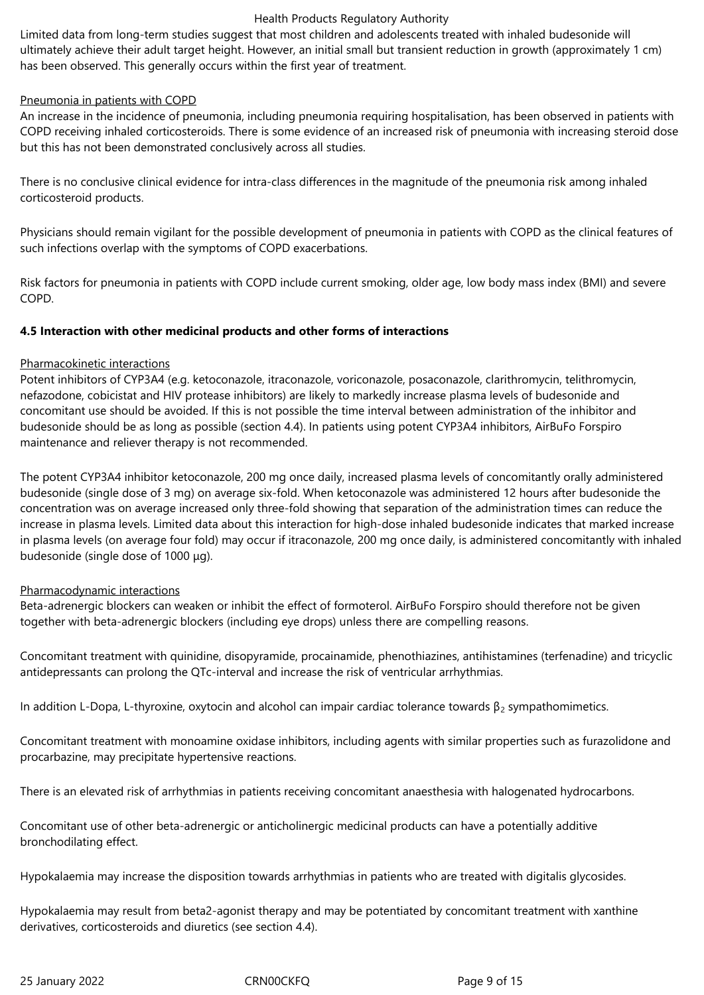Limited data from long-term studies suggest that most children and adolescents treated with inhaled budesonide will ultimately achieve their adult target height. However, an initial small but transient reduction in growth (approximately 1 cm) has been observed. This generally occurs within the first year of treatment.

## Pneumonia in patients with COPD

An increase in the incidence of pneumonia, including pneumonia requiring hospitalisation, has been observed in patients with COPD receiving inhaled corticosteroids. There is some evidence of an increased risk of pneumonia with increasing steroid dose but this has not been demonstrated conclusively across all studies.

There is no conclusive clinical evidence for intra-class differences in the magnitude of the pneumonia risk among inhaled corticosteroid products.

Physicians should remain vigilant for the possible development of pneumonia in patients with COPD as the clinical features of such infections overlap with the symptoms of COPD exacerbations.

Risk factors for pneumonia in patients with COPD include current smoking, older age, low body mass index (BMI) and severe COPD.

## **4.5 Interaction with other medicinal products and other forms of interactions**

## Pharmacokinetic interactions

Potent inhibitors of CYP3A4 (e.g. ketoconazole, itraconazole, voriconazole, posaconazole, clarithromycin, telithromycin, nefazodone, cobicistat and HIV protease inhibitors) are likely to markedly increase plasma levels of budesonide and concomitant use should be avoided. If this is not possible the time interval between administration of the inhibitor and budesonide should be as long as possible (section 4.4). In patients using potent CYP3A4 inhibitors, AirBuFo Forspiro maintenance and reliever therapy is not recommended.

The potent CYP3A4 inhibitor ketoconazole, 200 mg once daily, increased plasma levels of concomitantly orally administered budesonide (single dose of 3 mg) on average six-fold. When ketoconazole was administered 12 hours after budesonide the concentration was on average increased only three-fold showing that separation of the administration times can reduce the increase in plasma levels. Limited data about this interaction for high-dose inhaled budesonide indicates that marked increase in plasma levels (on average four fold) may occur if itraconazole, 200 mg once daily, is administered concomitantly with inhaled budesonide (single dose of 1000 μg).

## Pharmacodynamic interactions

Beta-adrenergic blockers can weaken or inhibit the effect of formoterol. AirBuFo Forspiro should therefore not be given together with beta-adrenergic blockers (including eye drops) unless there are compelling reasons.

Concomitant treatment with quinidine, disopyramide, procainamide, phenothiazines, antihistamines (terfenadine) and tricyclic antidepressants can prolong the QTc-interval and increase the risk of ventricular arrhythmias.

In addition L-Dopa, L-thyroxine, oxytocin and alcohol can impair cardiac tolerance towards β<sub>2</sub> sympathomimetics.

Concomitant treatment with monoamine oxidase inhibitors, including agents with similar properties such as furazolidone and procarbazine, may precipitate hypertensive reactions.

There is an elevated risk of arrhythmias in patients receiving concomitant anaesthesia with halogenated hydrocarbons.

Concomitant use of other beta-adrenergic or anticholinergic medicinal products can have a potentially additive bronchodilating effect.

Hypokalaemia may increase the disposition towards arrhythmias in patients who are treated with digitalis glycosides.

Hypokalaemia may result from beta2-agonist therapy and may be potentiated by concomitant treatment with xanthine derivatives, corticosteroids and diuretics (see section 4.4).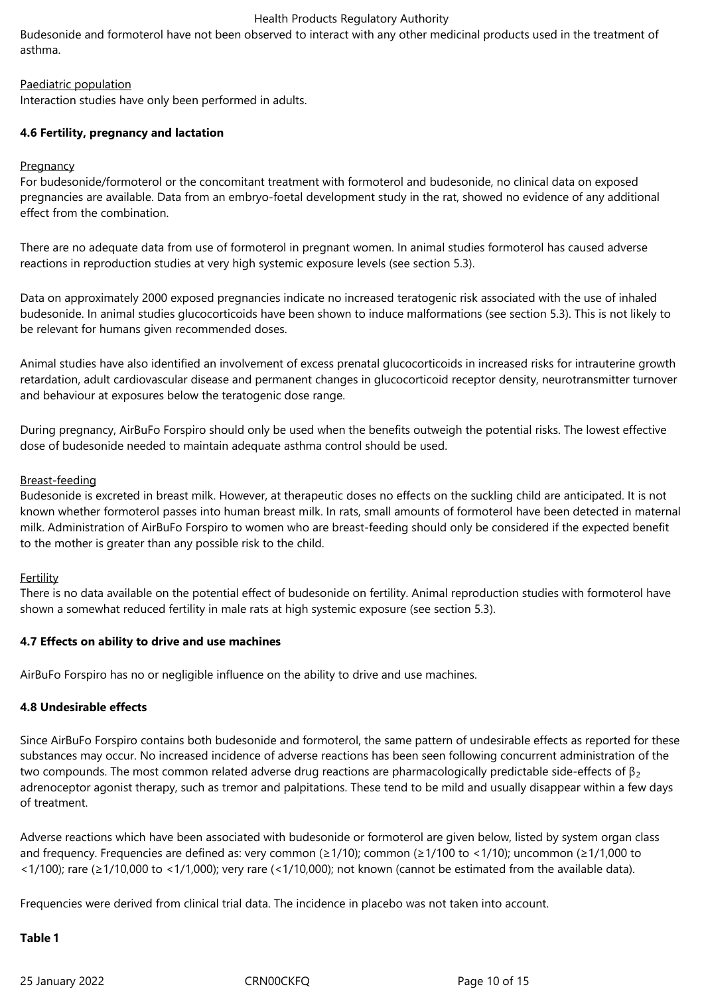Budesonide and formoterol have not been observed to interact with any other medicinal products used in the treatment of asthma.

## Paediatric population

Interaction studies have only been performed in adults.

## **4.6 Fertility, pregnancy and lactation**

## **Pregnancy**

For budesonide/formoterol or the concomitant treatment with formoterol and budesonide, no clinical data on exposed pregnancies are available. Data from an embryo-foetal development study in the rat, showed no evidence of any additional effect from the combination.

There are no adequate data from use of formoterol in pregnant women. In animal studies formoterol has caused adverse reactions in reproduction studies at very high systemic exposure levels (see section 5.3).

Data on approximately 2000 exposed pregnancies indicate no increased teratogenic risk associated with the use of inhaled budesonide. In animal studies glucocorticoids have been shown to induce malformations (see section 5.3). This is not likely to be relevant for humans given recommended doses.

Animal studies have also identified an involvement of excess prenatal glucocorticoids in increased risks for intrauterine growth retardation, adult cardiovascular disease and permanent changes in glucocorticoid receptor density, neurotransmitter turnover and behaviour at exposures below the teratogenic dose range.

During pregnancy, AirBuFo Forspiro should only be used when the benefits outweigh the potential risks. The lowest effective dose of budesonide needed to maintain adequate asthma control should be used.

## Breast-feeding

Budesonide is excreted in breast milk. However, at therapeutic doses no effects on the suckling child are anticipated. It is not known whether formoterol passes into human breast milk. In rats, small amounts of formoterol have been detected in maternal milk. Administration of AirBuFo Forspiro to women who are breast-feeding should only be considered if the expected benefit to the mother is greater than any possible risk to the child.

## Fertility

There is no data available on the potential effect of budesonide on fertility. Animal reproduction studies with formoterol have shown a somewhat reduced fertility in male rats at high systemic exposure (see section 5.3).

## **4.7 Effects on ability to drive and use machines**

AirBuFo Forspiro has no or negligible influence on the ability to drive and use machines.

## **4.8 Undesirable effects**

Since AirBuFo Forspiro contains both budesonide and formoterol, the same pattern of undesirable effects as reported for these substances may occur. No increased incidence of adverse reactions has been seen following concurrent administration of the two compounds. The most common related adverse drug reactions are pharmacologically predictable side-effects of  $\beta_2$ adrenoceptor agonist therapy, such as tremor and palpitations. These tend to be mild and usually disappear within a few days of treatment.

Adverse reactions which have been associated with budesonide or formoterol are given below, listed by system organ class and frequency. Frequencies are defined as: very common (≥1/10); common (≥1/100 to <1/10); uncommon (≥1/1,000 to <1/100); rare (≥1/10,000 to <1/1,000); very rare (<1/10,000); not known (cannot be estimated from the available data).

Frequencies were derived from clinical trial data. The incidence in placebo was not taken into account.

## **Table 1**

25 January 2022 CRN00CKFQ Page 10 of 15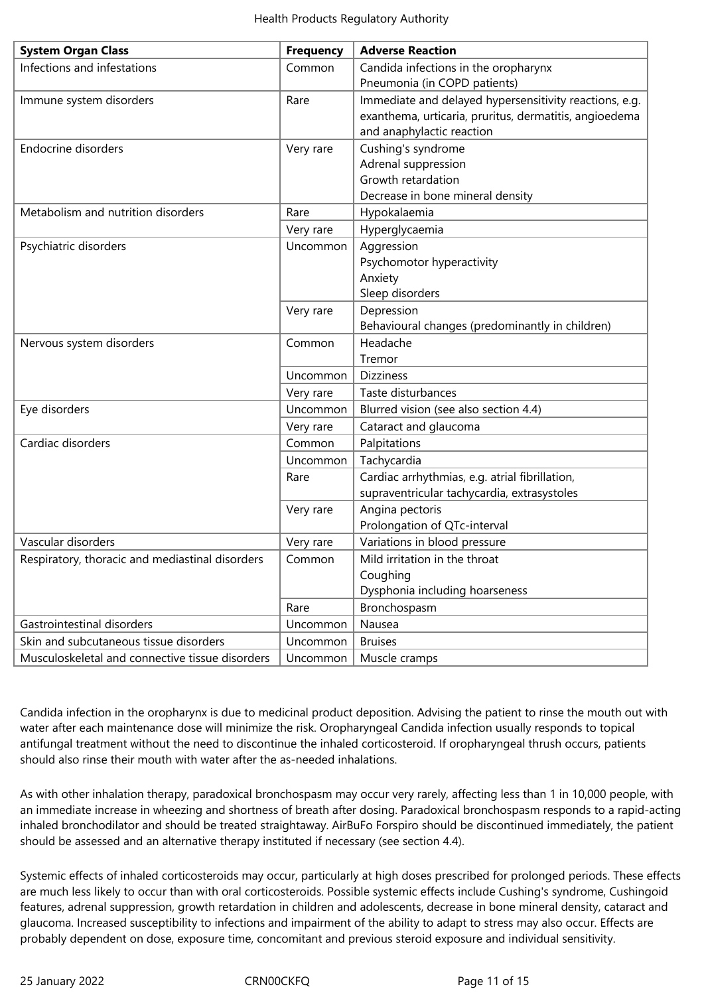| <b>System Organ Class</b>                       | <b>Frequency</b> | <b>Adverse Reaction</b>                                |  |  |
|-------------------------------------------------|------------------|--------------------------------------------------------|--|--|
| Infections and infestations                     | Common           | Candida infections in the oropharynx                   |  |  |
|                                                 |                  | Pneumonia (in COPD patients)                           |  |  |
| Immune system disorders                         | Rare             | Immediate and delayed hypersensitivity reactions, e.g. |  |  |
|                                                 |                  | exanthema, urticaria, pruritus, dermatitis, angioedema |  |  |
|                                                 |                  | and anaphylactic reaction                              |  |  |
| <b>Endocrine disorders</b>                      | Very rare        | Cushing's syndrome                                     |  |  |
|                                                 |                  | Adrenal suppression                                    |  |  |
|                                                 |                  | Growth retardation                                     |  |  |
|                                                 |                  | Decrease in bone mineral density                       |  |  |
| Metabolism and nutrition disorders              | Rare             | Hypokalaemia                                           |  |  |
|                                                 | Very rare        | Hyperglycaemia                                         |  |  |
| Psychiatric disorders                           | Uncommon         | Aggression                                             |  |  |
|                                                 |                  | Psychomotor hyperactivity                              |  |  |
|                                                 |                  | Anxiety                                                |  |  |
|                                                 |                  | Sleep disorders                                        |  |  |
|                                                 | Very rare        | Depression                                             |  |  |
|                                                 |                  | Behavioural changes (predominantly in children)        |  |  |
| Nervous system disorders                        | Common           | Headache                                               |  |  |
|                                                 |                  | Tremor                                                 |  |  |
|                                                 | Uncommon         | <b>Dizziness</b>                                       |  |  |
|                                                 | Very rare        | Taste disturbances                                     |  |  |
| Eye disorders                                   | Uncommon         | Blurred vision (see also section 4.4)                  |  |  |
|                                                 | Very rare        | Cataract and glaucoma                                  |  |  |
| Cardiac disorders                               | Common           | Palpitations                                           |  |  |
|                                                 | Uncommon         | Tachycardia                                            |  |  |
|                                                 | Rare             | Cardiac arrhythmias, e.g. atrial fibrillation,         |  |  |
|                                                 |                  | supraventricular tachycardia, extrasystoles            |  |  |
|                                                 | Very rare        | Angina pectoris                                        |  |  |
|                                                 |                  | Prolongation of QTc-interval                           |  |  |
| Vascular disorders                              | Very rare        | Variations in blood pressure                           |  |  |
| Respiratory, thoracic and mediastinal disorders | Common           | Mild irritation in the throat                          |  |  |
|                                                 |                  | Coughing                                               |  |  |
|                                                 |                  | Dysphonia including hoarseness                         |  |  |
|                                                 | Rare             | Bronchospasm                                           |  |  |
| Gastrointestinal disorders                      | Uncommon         | Nausea                                                 |  |  |
| Skin and subcutaneous tissue disorders          | Uncommon         | <b>Bruises</b>                                         |  |  |
| Musculoskeletal and connective tissue disorders | Uncommon         | Muscle cramps                                          |  |  |

Candida infection in the oropharynx is due to medicinal product deposition. Advising the patient to rinse the mouth out with water after each maintenance dose will minimize the risk. Oropharyngeal Candida infection usually responds to topical antifungal treatment without the need to discontinue the inhaled corticosteroid. If oropharyngeal thrush occurs, patients should also rinse their mouth with water after the as-needed inhalations.

As with other inhalation therapy, paradoxical bronchospasm may occur very rarely, affecting less than 1 in 10,000 people, with an immediate increase in wheezing and shortness of breath after dosing. Paradoxical bronchospasm responds to a rapid-acting inhaled bronchodilator and should be treated straightaway. AirBuFo Forspiro should be discontinued immediately, the patient should be assessed and an alternative therapy instituted if necessary (see section 4.4).

Systemic effects of inhaled corticosteroids may occur, particularly at high doses prescribed for prolonged periods. These effects are much less likely to occur than with oral corticosteroids. Possible systemic effects include Cushing's syndrome, Cushingoid features, adrenal suppression, growth retardation in children and adolescents, decrease in bone mineral density, cataract and glaucoma. Increased susceptibility to infections and impairment of the ability to adapt to stress may also occur. Effects are probably dependent on dose, exposure time, concomitant and previous steroid exposure and individual sensitivity.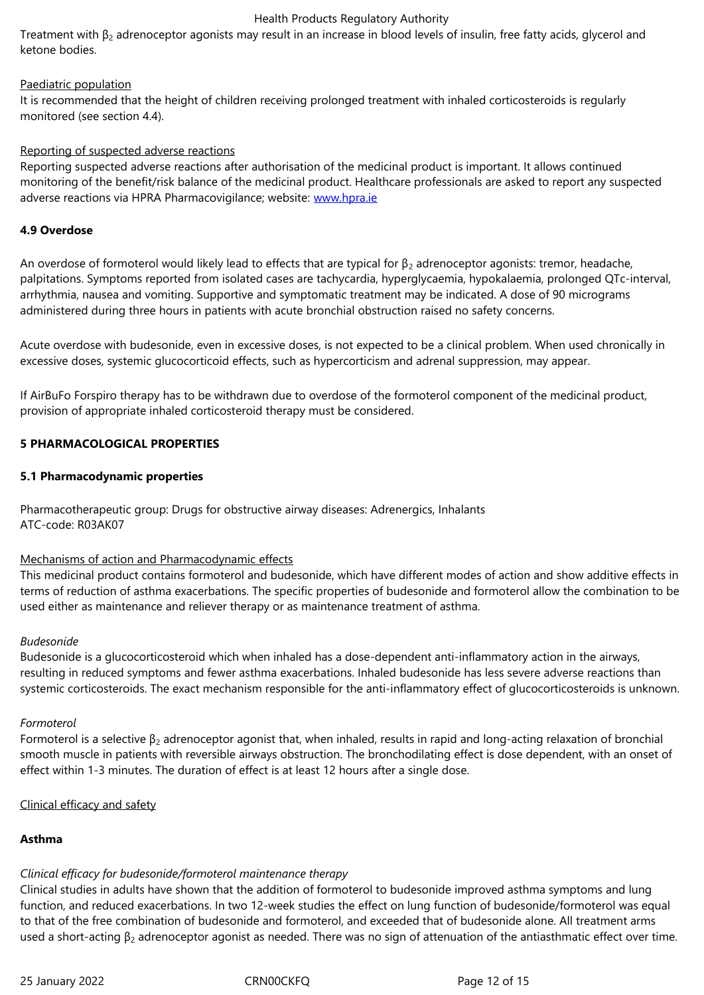## Paediatric population

It is recommended that the height of children receiving prolonged treatment with inhaled corticosteroids is regularly monitored (see section 4.4).

## Reporting of suspected adverse reactions

Reporting suspected adverse reactions after authorisation of the medicinal product is important. It allows continued monitoring of the benefit/risk balance of the medicinal product. Healthcare professionals are asked to report any suspected adverse reactions via HPRA Pharmacovigilance; website: www.hpra.ie

## **4.9 Overdose**

An overdose of formoterol would likely lead to effects t[hat are typica](http://www.hpra.ie/)l for  $\beta_2$  adrenoceptor agonists: tremor, headache, palpitations. Symptoms reported from isolated cases are tachycardia, hyperglycaemia, hypokalaemia, prolonged QTc-interval, arrhythmia, nausea and vomiting. Supportive and symptomatic treatment may be indicated. A dose of 90 micrograms administered during three hours in patients with acute bronchial obstruction raised no safety concerns.

Acute overdose with budesonide, even in excessive doses, is not expected to be a clinical problem. When used chronically in excessive doses, systemic glucocorticoid effects, such as hypercorticism and adrenal suppression, may appear.

If AirBuFo Forspiro therapy has to be withdrawn due to overdose of the formoterol component of the medicinal product, provision of appropriate inhaled corticosteroid therapy must be considered.

## **5 PHARMACOLOGICAL PROPERTIES**

## **5.1 Pharmacodynamic properties**

Pharmacotherapeutic group: Drugs for obstructive airway diseases: Adrenergics, Inhalants ATC-code: R03AK07

## Mechanisms of action and Pharmacodynamic effects

This medicinal product contains formoterol and budesonide, which have different modes of action and show additive effects in terms of reduction of asthma exacerbations. The specific properties of budesonide and formoterol allow the combination to be used either as maintenance and reliever therapy or as maintenance treatment of asthma.

## *Budesonide*

Budesonide is a glucocorticosteroid which when inhaled has a dose-dependent anti-inflammatory action in the airways, resulting in reduced symptoms and fewer asthma exacerbations. Inhaled budesonide has less severe adverse reactions than systemic corticosteroids. The exact mechanism responsible for the anti-inflammatory effect of glucocorticosteroids is unknown.

## *Formoterol*

Formoterol is a selective  $β_2$  adrenoceptor agonist that, when inhaled, results in rapid and long-acting relaxation of bronchial smooth muscle in patients with reversible airways obstruction. The bronchodilating effect is dose dependent, with an onset of effect within 1-3 minutes. The duration of effect is at least 12 hours after a single dose.

## Clinical efficacy and safety

## **Asthma**

## *Clinical efficacy for budesonide/formoterol maintenance therapy*

Clinical studies in adults have shown that the addition of formoterol to budesonide improved asthma symptoms and lung function, and reduced exacerbations. In two 12-week studies the effect on lung function of budesonide/formoterol was equal to that of the free combination of budesonide and formoterol, and exceeded that of budesonide alone. All treatment arms used a short-acting  $β_2$  adrenoceptor agonist as needed. There was no sign of attenuation of the antiasthmatic effect over time.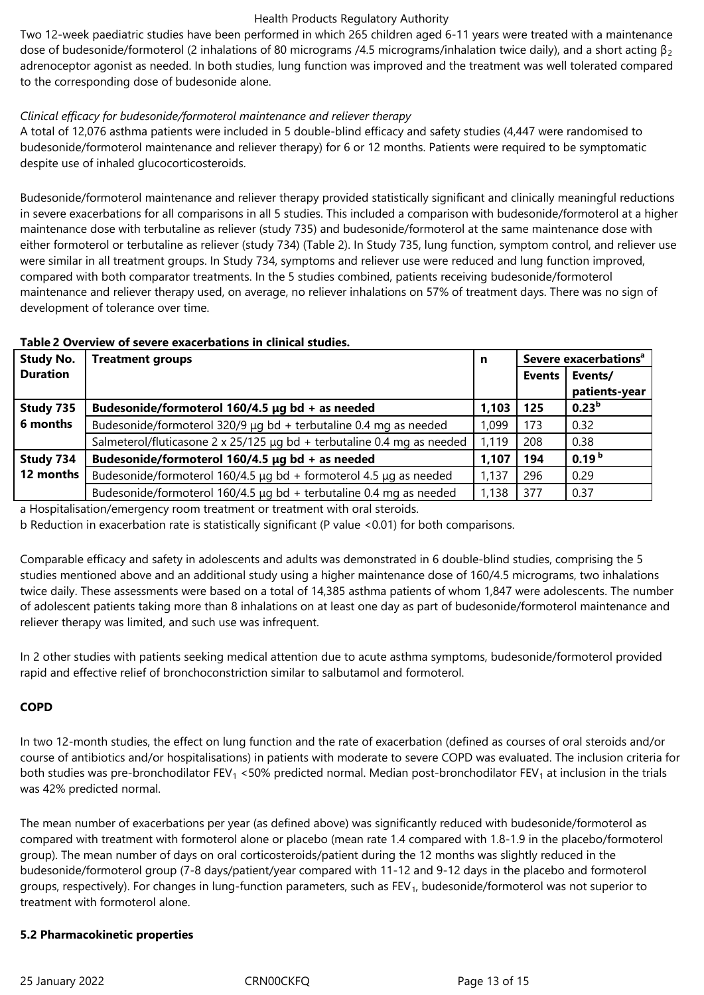Two 12-week paediatric studies have been performed in which 265 children aged 6-11 years were treated with a maintenance dose of budesonide/formoterol (2 inhalations of 80 micrograms /4.5 micrograms/inhalation twice daily), and a short acting  $\beta_2$ adrenoceptor agonist as needed. In both studies, lung function was improved and the treatment was well tolerated compared to the corresponding dose of budesonide alone.

## *Clinical efficacy for budesonide/formoterol maintenance and reliever therapy*

A total of 12,076 asthma patients were included in 5 double-blind efficacy and safety studies (4,447 were randomised to budesonide/formoterol maintenance and reliever therapy) for 6 or 12 months. Patients were required to be symptomatic despite use of inhaled glucocorticosteroids.

Budesonide/formoterol maintenance and reliever therapy provided statistically significant and clinically meaningful reductions in severe exacerbations for all comparisons in all 5 studies. This included a comparison with budesonide/formoterol at a higher maintenance dose with terbutaline as reliever (study 735) and budesonide/formoterol at the same maintenance dose with either formoterol or terbutaline as reliever (study 734) (Table 2). In Study 735, lung function, symptom control, and reliever use were similar in all treatment groups. In Study 734, symptoms and reliever use were reduced and lung function improved, compared with both comparator treatments. In the 5 studies combined, patients receiving budesonide/formoterol maintenance and reliever therapy used, on average, no reliever inhalations on 57% of treatment days. There was no sign of development of tolerance over time.

## **Table 2 Overview of severe exacerbations in clinical studies.**

| <b>Study No.</b> | <b>Treatment groups</b>                                                     |       | Severe exacerbations <sup>a</sup> |                   |
|------------------|-----------------------------------------------------------------------------|-------|-----------------------------------|-------------------|
| <b>Duration</b>  |                                                                             |       | <b>Events</b>                     | Events/           |
|                  |                                                                             |       |                                   | patients-year     |
| Study 735        | Budesonide/formoterol 160/4.5 $\mu$ g bd + as needed                        |       | 125                               | 0.23 <sup>b</sup> |
| 6 months         | Budesonide/formoterol 320/9 µg bd + terbutaline 0.4 mg as needed            | 1,099 | 173                               | 0.32              |
|                  | Salmeterol/fluticasone 2 x 25/125 µg bd + terbutaline 0.4 mg as needed      | 1,119 | 208                               | 0.38              |
| Study 734        | Budesonide/formoterol 160/4.5 µg bd + as needed                             |       | 194                               | 0.19 <sup>b</sup> |
| 12 months        | Budesonide/formoterol 160/4.5 $\mu$ g bd + formoterol 4.5 $\mu$ g as needed | 1,137 | 296                               | 0.29              |
|                  | Budesonide/formoterol $160/4.5$ µg bd + terbutaline 0.4 mg as needed        | 1,138 | 377                               | 0.37              |

a Hospitalisation/emergency room treatment or treatment with oral steroids.

b Reduction in exacerbation rate is statistically significant (P value <0.01) for both comparisons.

Comparable efficacy and safety in adolescents and adults was demonstrated in 6 double-blind studies, comprising the 5 studies mentioned above and an additional study using a higher maintenance dose of 160/4.5 micrograms, two inhalations twice daily. These assessments were based on a total of 14,385 asthma patients of whom 1,847 were adolescents. The number of adolescent patients taking more than 8 inhalations on at least one day as part of budesonide/formoterol maintenance and reliever therapy was limited, and such use was infrequent.

In 2 other studies with patients seeking medical attention due to acute asthma symptoms, budesonide/formoterol provided rapid and effective relief of bronchoconstriction similar to salbutamol and formoterol.

## **COPD**

In two 12-month studies, the effect on lung function and the rate of exacerbation (defined as courses of oral steroids and/or course of antibiotics and/or hospitalisations) in patients with moderate to severe COPD was evaluated. The inclusion criteria for both studies was pre-bronchodilator FEV<sub>1</sub> <50% predicted normal. Median post-bronchodilator FEV<sub>1</sub> at inclusion in the trials was 42% predicted normal.

The mean number of exacerbations per year (as defined above) was significantly reduced with budesonide/formoterol as compared with treatment with formoterol alone or placebo (mean rate 1.4 compared with 1.8-1.9 in the placebo/formoterol group). The mean number of days on oral corticosteroids/patient during the 12 months was slightly reduced in the budesonide/formoterol group (7-8 days/patient/year compared with 11-12 and 9-12 days in the placebo and formoterol groups, respectively). For changes in lung-function parameters, such as FEV<sub>1</sub>, budesonide/formoterol was not superior to treatment with formoterol alone.

## **5.2 Pharmacokinetic properties**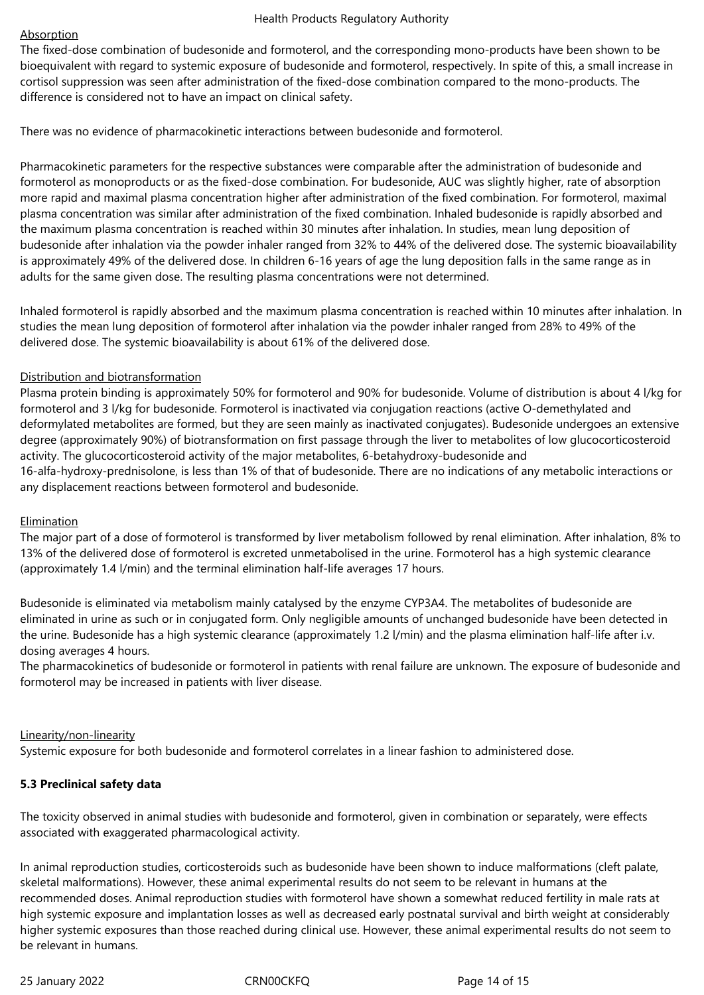## **Absorption**

The fixed-dose combination of budesonide and formoterol, and the corresponding mono-products have been shown to be bioequivalent with regard to systemic exposure of budesonide and formoterol, respectively. In spite of this, a small increase in cortisol suppression was seen after administration of the fixed-dose combination compared to the mono-products. The difference is considered not to have an impact on clinical safety.

There was no evidence of pharmacokinetic interactions between budesonide and formoterol.

Pharmacokinetic parameters for the respective substances were comparable after the administration of budesonide and formoterol as monoproducts or as the fixed-dose combination. For budesonide, AUC was slightly higher, rate of absorption more rapid and maximal plasma concentration higher after administration of the fixed combination. For formoterol, maximal plasma concentration was similar after administration of the fixed combination. Inhaled budesonide is rapidly absorbed and the maximum plasma concentration is reached within 30 minutes after inhalation. In studies, mean lung deposition of budesonide after inhalation via the powder inhaler ranged from 32% to 44% of the delivered dose. The systemic bioavailability is approximately 49% of the delivered dose. In children 6-16 years of age the lung deposition falls in the same range as in adults for the same given dose. The resulting plasma concentrations were not determined.

Inhaled formoterol is rapidly absorbed and the maximum plasma concentration is reached within 10 minutes after inhalation. In studies the mean lung deposition of formoterol after inhalation via the powder inhaler ranged from 28% to 49% of the delivered dose. The systemic bioavailability is about 61% of the delivered dose.

## Distribution and biotransformation

Plasma protein binding is approximately 50% for formoterol and 90% for budesonide. Volume of distribution is about 4 l/kg for formoterol and 3 l/kg for budesonide. Formoterol is inactivated via conjugation reactions (active O-demethylated and deformylated metabolites are formed, but they are seen mainly as inactivated conjugates). Budesonide undergoes an extensive degree (approximately 90%) of biotransformation on first passage through the liver to metabolites of low glucocorticosteroid activity. The glucocorticosteroid activity of the major metabolites, 6-betahydroxy-budesonide and 16-alfa-hydroxy-prednisolone, is less than 1% of that of budesonide. There are no indications of any metabolic interactions or any displacement reactions between formoterol and budesonide.

## Elimination

The major part of a dose of formoterol is transformed by liver metabolism followed by renal elimination. After inhalation, 8% to 13% of the delivered dose of formoterol is excreted unmetabolised in the urine. Formoterol has a high systemic clearance (approximately 1.4 l/min) and the terminal elimination half-life averages 17 hours.

Budesonide is eliminated via metabolism mainly catalysed by the enzyme CYP3A4. The metabolites of budesonide are eliminated in urine as such or in conjugated form. Only negligible amounts of unchanged budesonide have been detected in the urine. Budesonide has a high systemic clearance (approximately 1.2 l/min) and the plasma elimination half-life after i.v. dosing averages 4 hours.

The pharmacokinetics of budesonide or formoterol in patients with renal failure are unknown. The exposure of budesonide and formoterol may be increased in patients with liver disease.

## Linearity/non-linearity

Systemic exposure for both budesonide and formoterol correlates in a linear fashion to administered dose.

## **5.3 Preclinical safety data**

The toxicity observed in animal studies with budesonide and formoterol, given in combination or separately, were effects associated with exaggerated pharmacological activity.

In animal reproduction studies, corticosteroids such as budesonide have been shown to induce malformations (cleft palate, skeletal malformations). However, these animal experimental results do not seem to be relevant in humans at the recommended doses. Animal reproduction studies with formoterol have shown a somewhat reduced fertility in male rats at high systemic exposure and implantation losses as well as decreased early postnatal survival and birth weight at considerably higher systemic exposures than those reached during clinical use. However, these animal experimental results do not seem to be relevant in humans.